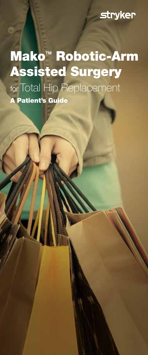### **stryker**

Mako<sup>™</sup> Robotic-Arm Assisted Surgery for Total Hip Replacement A Patient's Guide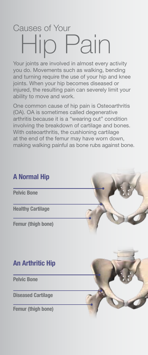## Causes of Your<br>  $\begin{picture}(16,17) \put(0,0){\line(1,0){155}} \put(15,0){\line(1,0){155}} \put(15,0){\line(1,0){155}} \put(15,0){\line(1,0){155}} \put(15,0){\line(1,0){155}} \put(15,0){\line(1,0){155}} \put(15,0){\line(1,0){155}} \put(15,0){\line(1,0){155}} \put(15,0){\line(1,0){155}} \put(15,0){\line(1,0){155}} \put(15$ Pain

Your joints are involved in almost every activity you do. Movements such as walking, bending and turning require the use of your hip and knee joints. When your hip becomes diseased or injured, the resulting pain can severely limit your ability to move and work.

One common cause of hip pain is Osteoarthritis (OA). OA is sometimes called degenerative arthritis because it is a "wearing out" condition involving the breakdown of cartilage and bones. With osteoarthritis, the cushioning cartilage at the end of the femur may have worn down, making walking painful as bone rubs against bone.

#### A Normal Hip

Pelvic Bone

Healthy Cartilage

Femur (thigh bone)

#### An Arthritic Hip

Pelvic Bone

Diseased Cartilage

Femur (thigh bone)

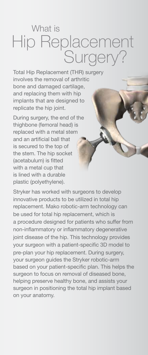# What is Hip Replacement<br>Surgery?

Total Hip Replacement (THR) surgery involves the removal of arthritic bone and damaged cartilage, and replacing them with hip implants that are designed to replicate the hip joint.

During surgery, the end of the thighbone (femoral head) is replaced with a metal stem and an artificial ball that is secured to the top of the stem. The hip socket (acetabulum) is fitted with a metal cup that is lined with a durable plastic (polyethylene).

Stryker has worked with surgeons to develop innovative products to be utilized in total hip replacement. Mako robotic-arm technology can be used for total hip replacement, which is a procedure designed for patients who suffer from non-inflammatory or inflammatory degenerative joint disease of the hip. This technology provides your surgeon with a patient-specific 3D model to pre-plan your hip replacement. During surgery, your surgeon guides the Stryker robotic-arm based on your patient-specific plan. This helps the surgeon to focus on removal of diseased bone, helping preserve healthy bone, and assists your surgeon in positioning the total hip implant based on your anatomy.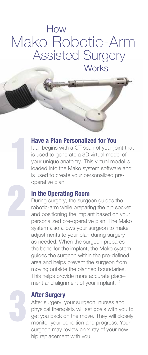## How Mako Robotic-Arm Assisted Surgery **Works**

#### Have a Plan Personalized for You

It all begins with a CT scan of your joint that is used to generate a 3D virtual model of your unique anatomy. This virtual model is loaded into the Mako system software and is used to create your personalized preoperative plan.

#### In the Operating Room

During surgery, the surgeon guides the robotic-arm while preparing the hip socket and positioning the implant based on your personalized pre-operative plan. The Mako system also allows your surgeon to make adjustments to your plan during surgery as needed. When the surgeon prepares the bone for the implant, the Mako system guides the surgeon within the pre-defined area and helps prevent the surgeon from moving outside the planned boundaries. This helps provide more accurate placement and alignment of your implant.<sup>1,2</sup>



#### After Surgery

After surgery, your surgeon, nurses and physical therapists will set goals with you to get you back on the move. They will closely monitor your condition and progress. Your surgeon may review an x-ray of your new hip replacement with you.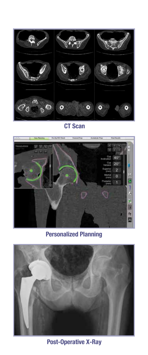

CT Scan



Personalized Planning



Post-Operative X-Ray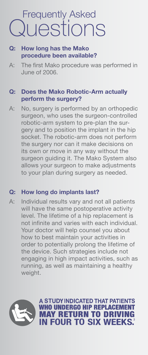## Frequently Asked **Questions**

#### **Q: How long has the Mako procedure been available?**

A: The first Mako procedure was performed in June of 2006.

#### **Q: Does the Mako Robotic-Arm actually perform the surgery?**

A: No, surgery is performed by an orthopedic surgeon, who uses the surgeon-controlled robotic-arm system to pre-plan the surgery and to position the implant in the hip socket. The robotic-arm does not perform the surgery nor can it make decisions on its own or move in any way without the surgeon guiding it. The Mako System also allows your surgeon to make adjustments to your plan during surgery as needed.

#### **Q: How long do implants last?**

A: Individual results vary and not all patients will have the same postoperative activity level. The lifetime of a hip replacement is not infinite and varies with each individual. Your doctor will help counsel you about how to best maintain your activities in order to potentially prolong the lifetime of the device. Such strategies include not engaging in high impact activities, such as running, as well as maintaining a healthy weight.

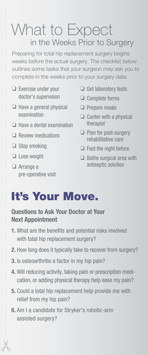## What to Expect in the Weeks Prior to Surgery

Preparing for total hip replacement surgery begins weeks before the actual surgery. The checklist below outlines some tasks that your surgeon may ask you to complete in the weeks prior to your surgery date.

- ❏ Exercise under your doctor's supervision
- $\Box$  Have a general physical examination
- $\Box$  Have a dental examination
- ❏ Review medications
- $\Box$  Stop smoking
- ❏ Lose weight
- ❏ Arrange a pre-operative visit
- $\Box$  Get laboratory tests
- ❏ Complete forms
- $\Box$  Prepare meals
- $\Box$  Confer with a physical therapist
- ❏ Plan for post-surgery rehabilitative care
- $\Box$  Fast the night before
- $\Box$  Bathe surgical area with antiseptic solution

## It's Your Move.

#### Questions to Ask Your Doctor at Your Next Appointment

- 1. What are the benefits and potential risks involved with total hip replacement surgery?
- 2. How long does it typically take to recover from surgery?
- 3. Is osteoarthritis a factor in my hip pain?
- 4. Will reducing activity, taking pain or prescription medication, or adding physical therapy help ease my pain?
- 5. Could a total hip replacement help provide me with relief from my hip pain?
- 6. Am I a candidate for Stryker's robotic-arm assisted surgery?